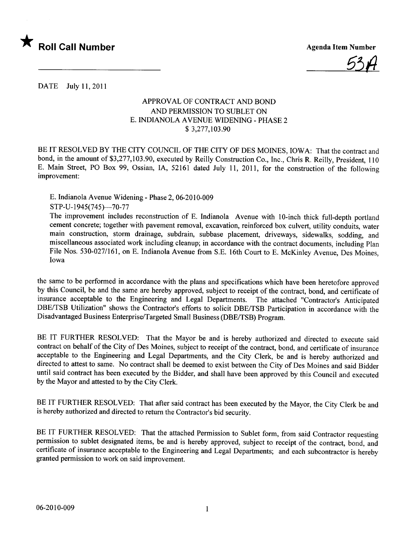

<u>53A</u>

DATE July 11,2011

## APPROVAL OF CONTRACT AND BOND AND PERMISSION TO SUBLET ON E. INDIANOLA AVENUE WIDENING - PHASE 2 \$ 3,277,103.90

BE IT RESOLVED BY THE CITY COUNCIL OF THE CITY OF DES MOINES, IOWA: That the contract and bond, in the amount of \$3,277,103.90, executed by Reily Construction Co., Inc., Chris R. Reily, President, 110 E. Main Street, PO Box 99, Ossian, lA, 52161 dated July 11, 2011, for the construction of the following improvement:

E. Indianola Avenue Widening - Phase 2,06-2010-009

STP-U-1945(745)-70-77

The improvement includes reconstruction of E. Indianola Avenue with 10-inch thick full-depth portland cement concrete; together with pavement removal, excavation, reinforced box culvert, utility conduits, water main construction, storm drainage, subdrain, subbase placement, driveways, sidewalks, sodding, and miscellaneous associated work including cleanup; in accordance with the contract documents, including Plan File Nos. 530-027/161, on E. Indianola Avenue from S.E. 16th Court to E. McKinley Avenue, Des Moines, Iowa

the same to be performed in accordance with the plans and specifications which have been heretofore approved by this Council, be and the same are hereby approved, subject to receipt of the contract, bond, and certificate of insurance acceptable to the Engineering and Legal Departments. The attached "Contractor's Anticipated DBE/TSB Utilization" shows the Contractor's efforts to solicit DBE/TSB Participation in accordance with the Disadvantaged Business Enterprise/Targeted Small Business (DBE/TSB) Program.

BE IT FURTHER RESOLVED: That the Mayor be and is hereby authorized and directed to execute said contract on behalf of the City of Des Moines, subject to receipt of the contract, bond, and certificate of insurance acceptable to the Engineering and Legal Departments, and the City Clerk, be and is hereby authorized and directed to attest to same. No contract shall be deemed to exist between the City of Des Moines and said Bidder until said contract has been executed by the Bidder, and shall have been approved by this Council and executed by the Mayor and attested to by the City Clerk.

BE IT FURTHER RESOLVED: That after said contract has been executed by the Mayor, the City Clerk be and is hereby authorized and directed to return the Contractor's bid security.

BE IT FURTHER RESOLVED: That the attached Permission to Sublet form, from said Contractor requesting permission to sublet designated items, be and is hereby approved, subject to receipt of the contract, bond, and certificate of insurance acceptable to the Engineering and Legal Departments; and each subcontractor is hereby granted permission to work on said improvement.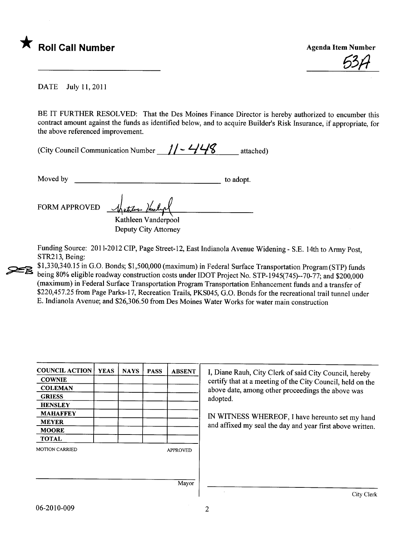

<u>53H</u>

DATE July 11, 2011

BE IT FURTHER RESOLVED: That the Des Moines Finance Director is hereby authorized to encumber this contract amount against the funds as identified below, and to acquire Builder's Risk Insurance, if appropriate, for the above referenced improvement.

| (City Council Communication Number $\frac{1}{-}$ $\frac{1}{-}$ $\frac{1}{-}$ $\frac{1}{-}$ |  |  | attached) |
|--------------------------------------------------------------------------------------------|--|--|-----------|
|--------------------------------------------------------------------------------------------|--|--|-----------|

Moved by to adopt.

FORM APPROVED

**25** 

Kathleen Vanderpool Deputy City Attorney

Funding Source: 2011-2012 CIP, Page Street-12, East Indianola Avenue Widening - S.E. 14th to Army Post, STR213, Being:

\$1,330,340.15 in G.O. Bonds; \$1,500,000 (maximum) in Federal Surface Transportation Program (STP) funds being 80% eligible roadway construction costs under IDOT Project No. STP-1945(745)--70-77; and \$200,000 (maximum) in Federal Surface Transportation Program Transportation Enhancement funds and a transfer of \$220,457.25 from Page Parks-17, Recreation Trails, PKS045, G.O. Bonds for the recreational trail tunnel under E. Indianola Avenue; and \$26,306.50 from Des Moines Water Works for water main construction

| <b>COUNCIL ACTION</b> | <b>YEAS</b> | <b>NAYS</b> | <b>PASS</b> | <b>ABSENT</b>   | I, Diane Rauh, City Clerk of said City Council, hereby     |  |  |  |
|-----------------------|-------------|-------------|-------------|-----------------|------------------------------------------------------------|--|--|--|
| <b>COWNIE</b>         |             |             |             |                 | certify that at a meeting of the City Council, held on the |  |  |  |
| <b>COLEMAN</b>        |             |             |             |                 | above date, among other proceedings the above was          |  |  |  |
| <b>GRIESS</b>         |             |             |             |                 | adopted.                                                   |  |  |  |
| <b>HENSLEY</b>        |             |             |             |                 |                                                            |  |  |  |
| <b>MAHAFFEY</b>       |             |             |             |                 |                                                            |  |  |  |
| <b>MEYER</b>          |             |             |             |                 | IN WITNESS WHEREOF, I have hereunto set my hand            |  |  |  |
| <b>MOORE</b>          |             |             |             |                 | and affixed my seal the day and year first above written.  |  |  |  |
| <b>TOTAL</b>          |             |             |             |                 |                                                            |  |  |  |
| <b>MOTION CARRIED</b> |             |             |             | <b>APPROVED</b> |                                                            |  |  |  |
|                       |             |             |             |                 |                                                            |  |  |  |
|                       |             |             |             |                 |                                                            |  |  |  |
|                       |             |             |             | Mayor           |                                                            |  |  |  |
|                       |             |             |             |                 | City Clerk                                                 |  |  |  |